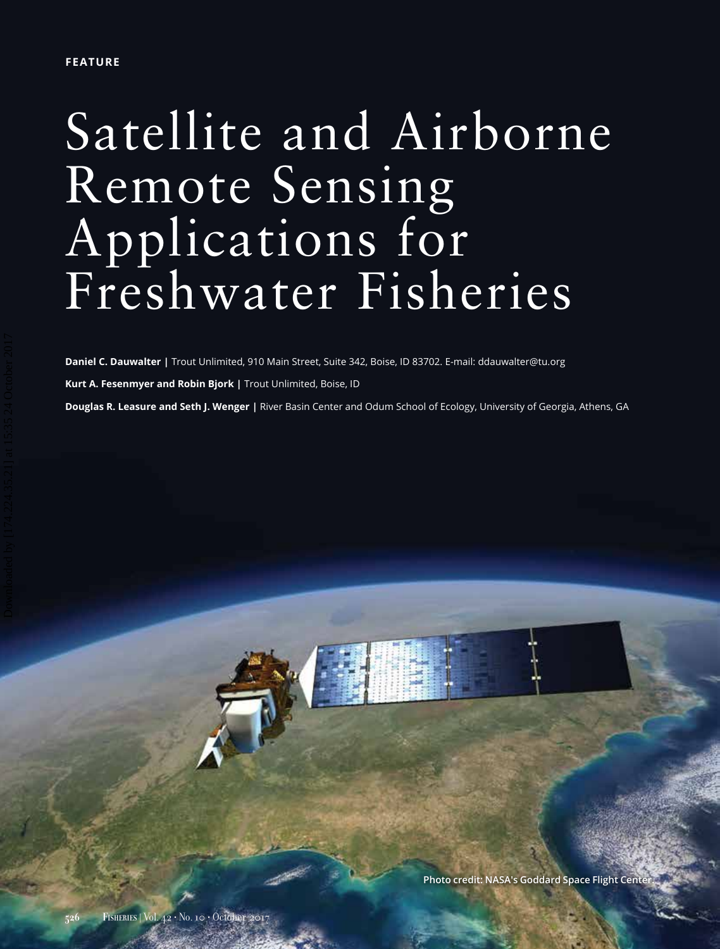# Satellite and Airborne Remote Sensing Applications for Freshwater Fisheries

**Daniel C. Dauwalter |** Trout Unlimited, 910 Main Street, Suite 342, Boise, ID 83702. E-mail: ddauwalter@tu.org **Kurt A. Fesenmyer and Robin Bjork |** Trout Unlimited, Boise, ID **Douglas R. Leasure and Seth J. Wenger |** River Basin Center and Odum School of Ecology, University of Georgia, Athens, GA



**Photo credit: NASA's Goddard Space Flight Center**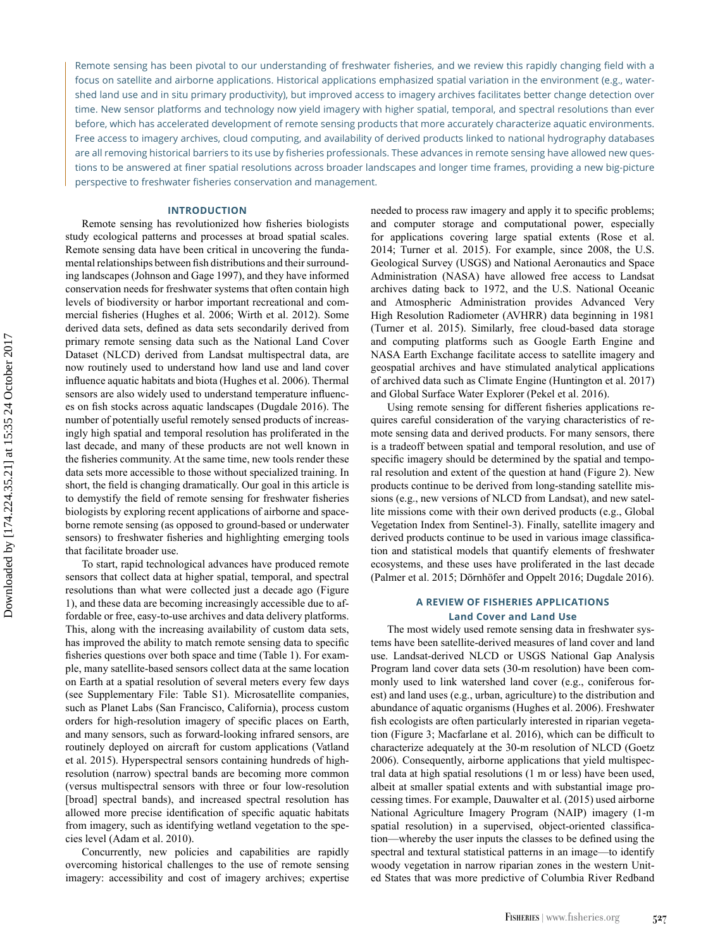Remote sensing has been pivotal to our understanding of freshwater fisheries, and we review this rapidly changing field with a focus on satellite and airborne applications. Historical applications emphasized spatial variation in the environment (e.g., watershed land use and in situ primary productivity), but improved access to imagery archives facilitates better change detection over time. New sensor platforms and technology now yield imagery with higher spatial, temporal, and spectral resolutions than ever before, which has accelerated development of remote sensing products that more accurately characterize aquatic environments. Free access to imagery archives, cloud computing, and availability of derived products linked to national hydrography databases are all removing historical barriers to its use by fisheries professionals. These advances in remote sensing have allowed new questions to be answered at finer spatial resolutions across broader landscapes and longer time frames, providing a new big-picture perspective to freshwater fisheries conservation and management.

### **INTRODUCTION**

Remote sensing has revolutionized how fisheries biologists study ecological patterns and processes at broad spatial scales. Remote sensing data have been critical in uncovering the fundamental relationships between fish distributions and their surrounding landscapes (Johnson and Gage 1997), and they have informed conservation needs for freshwater systems that often contain high levels of biodiversity or harbor important recreational and commercial fisheries (Hughes et al. 2006; Wirth et al. 2012). Some derived data sets, defined as data sets secondarily derived from primary remote sensing data such as the National Land Cover Dataset (NLCD) derived from Landsat multispectral data, are now routinely used to understand how land use and land cover influence aquatic habitats and biota (Hughes et al. 2006). Thermal sensors are also widely used to understand temperature influences on fish stocks across aquatic landscapes (Dugdale 2016). The number of potentially useful remotely sensed products of increasingly high spatial and temporal resolution has proliferated in the last decade, and many of these products are not well known in the fisheries community. At the same time, new tools render these data sets more accessible to those without specialized training. In short, the field is changing dramatically. Our goal in this article is to demystify the field of remote sensing for freshwater fisheries biologists by exploring recent applications of airborne and spaceborne remote sensing (as opposed to ground-based or underwater sensors) to freshwater fisheries and highlighting emerging tools that facilitate broader use.

To start, rapid technological advances have produced remote sensors that collect data at higher spatial, temporal, and spectral resolutions than what were collected just a decade ago (Figure 1), and these data are becoming increasingly accessible due to affordable or free, easy-to-use archives and data delivery platforms. This, along with the increasing availability of custom data sets, has improved the ability to match remote sensing data to specific fisheries questions over both space and time (Table 1). For example, many satellite-based sensors collect data at the same location on Earth at a spatial resolution of several meters every few days (see Supplementary File: Table S1). Microsatellite companies, such as Planet Labs (San Francisco, California), process custom orders for high-resolution imagery of specific places on Earth, and many sensors, such as forward-looking infrared sensors, are routinely deployed on aircraft for custom applications (Vatland et al. 2015). Hyperspectral sensors containing hundreds of highresolution (narrow) spectral bands are becoming more common (versus multispectral sensors with three or four low-resolution [broad] spectral bands), and increased spectral resolution has allowed more precise identification of specific aquatic habitats from imagery, such as identifying wetland vegetation to the species level (Adam et al. 2010).

Concurrently, new policies and capabilities are rapidly overcoming historical challenges to the use of remote sensing imagery: accessibility and cost of imagery archives; expertise

needed to process raw imagery and apply it to specific problems; and computer storage and computational power, especially for applications covering large spatial extents (Rose et al. 2014; Turner et al. 2015). For example, since 2008, the U.S. Geological Survey (USGS) and National Aeronautics and Space Administration (NASA) have allowed free access to Landsat archives dating back to 1972, and the U.S. National Oceanic and Atmospheric Administration provides Advanced Very High Resolution Radiometer (AVHRR) data beginning in 1981 (Turner et al. 2015). Similarly, free cloud-based data storage and computing platforms such as Google Earth Engine and NASA Earth Exchange facilitate access to satellite imagery and geospatial archives and have stimulated analytical applications of archived data such as Climate Engine (Huntington et al. 2017) and Global Surface Water Explorer (Pekel et al. 2016).

Using remote sensing for different fisheries applications requires careful consideration of the varying characteristics of remote sensing data and derived products. For many sensors, there is a tradeoff between spatial and temporal resolution, and use of specific imagery should be determined by the spatial and temporal resolution and extent of the question at hand (Figure 2). New products continue to be derived from long-standing satellite missions (e.g., new versions of NLCD from Landsat), and new satellite missions come with their own derived products (e.g., Global Vegetation Index from Sentinel-3). Finally, satellite imagery and derived products continue to be used in various image classification and statistical models that quantify elements of freshwater ecosystems, and these uses have proliferated in the last decade (Palmer et al. 2015; Dörnhöfer and Oppelt 2016; Dugdale 2016).

# **A REVIEW OF FISHERIES APPLICATIONS Land Cover and Land Use**

The most widely used remote sensing data in freshwater systems have been satellite-derived measures of land cover and land use. Landsat-derived NLCD or USGS National Gap Analysis Program land cover data sets (30-m resolution) have been commonly used to link watershed land cover (e.g., coniferous forest) and land uses (e.g., urban, agriculture) to the distribution and abundance of aquatic organisms (Hughes et al. 2006). Freshwater fish ecologists are often particularly interested in riparian vegetation (Figure 3; Macfarlane et al. 2016), which can be difficult to characterize adequately at the 30-m resolution of NLCD (Goetz 2006). Consequently, airborne applications that yield multispectral data at high spatial resolutions (1 m or less) have been used, albeit at smaller spatial extents and with substantial image processing times. For example, Dauwalter et al. (2015) used airborne National Agriculture Imagery Program (NAIP) imagery (1-m spatial resolution) in a supervised, object-oriented classification—whereby the user inputs the classes to be defined using the spectral and textural statistical patterns in an image—to identify woody vegetation in narrow riparian zones in the western United States that was more predictive of Columbia River Redband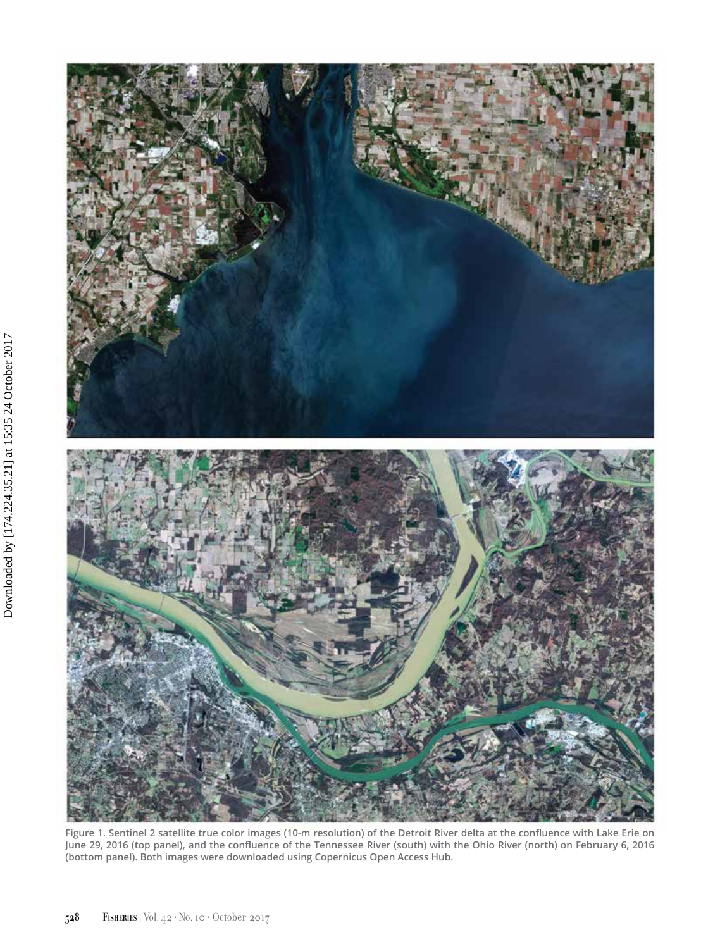

**Figure 1. Sentinel 2 satellite true color images (10-m resolution) of the Detroit River delta at the confluence with Lake Erie on June 29, 2016 (top panel), and the confluence of the Tennessee River (south) with the Ohio River (north) on February 6, 2016 (bottom panel). Both images were downloaded using Copernicus Open Access Hub.**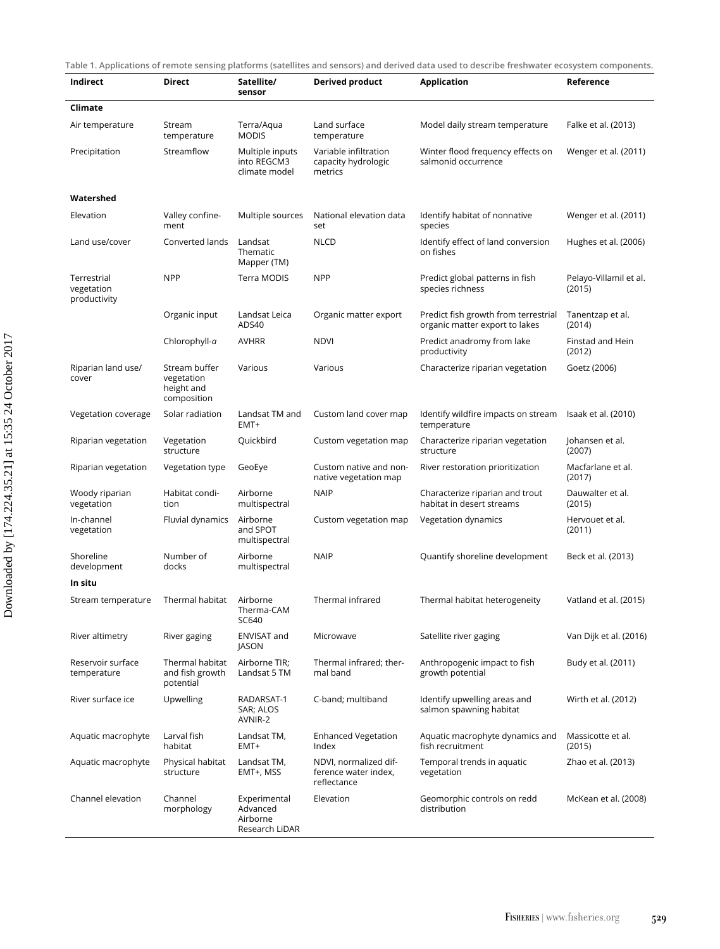**Table 1. Applications of remote sensing platforms (satellites and sensors) and derived data used to describe freshwater ecosystem components.** 

| Indirect                                  | <b>Direct</b>                                            | Satellite/<br>sensor                                   | <b>Derived product</b>                                       | abic in applications of remote sensing platforms (satemees and sensors) and derived data ased to acsende incsiniater ecosystem components.<br>Application | Reference                        |
|-------------------------------------------|----------------------------------------------------------|--------------------------------------------------------|--------------------------------------------------------------|-----------------------------------------------------------------------------------------------------------------------------------------------------------|----------------------------------|
| Climate                                   |                                                          |                                                        |                                                              |                                                                                                                                                           |                                  |
| Air temperature                           | Stream<br>temperature                                    | Terra/Aqua<br><b>MODIS</b>                             | Land surface<br>temperature                                  | Model daily stream temperature                                                                                                                            | Falke et al. (2013)              |
| Precipitation                             | Streamflow                                               | Multiple inputs<br>into REGCM3<br>climate model        | Variable infiltration<br>capacity hydrologic<br>metrics      | Winter flood frequency effects on<br>salmonid occurrence                                                                                                  | Wenger et al. (2011)             |
| Watershed                                 |                                                          |                                                        |                                                              |                                                                                                                                                           |                                  |
| Elevation                                 | Valley confine-<br>ment                                  | Multiple sources                                       | National elevation data<br>set                               | Identify habitat of nonnative<br>species                                                                                                                  | Wenger et al. (2011)             |
| Land use/cover                            | Converted lands                                          | Landsat<br>Thematic<br>Mapper (TM)                     | <b>NLCD</b>                                                  | Identify effect of land conversion<br>on fishes                                                                                                           | Hughes et al. (2006)             |
| Terrestrial<br>vegetation<br>productivity | <b>NPP</b>                                               | Terra MODIS                                            | <b>NPP</b>                                                   | Predict global patterns in fish<br>species richness                                                                                                       | Pelayo-Villamil et al.<br>(2015) |
|                                           | Organic input                                            | Landsat Leica<br>ADS40                                 | Organic matter export                                        | Predict fish growth from terrestrial<br>organic matter export to lakes                                                                                    | Tanentzap et al.<br>(2014)       |
|                                           | Chlorophyll-a                                            | <b>AVHRR</b>                                           | <b>NDVI</b>                                                  | Predict anadromy from lake<br>productivity                                                                                                                | Finstad and Hein<br>(2012)       |
| Riparian land use/<br>cover               | Stream buffer<br>vegetation<br>height and<br>composition | Various                                                | Various                                                      | Characterize riparian vegetation                                                                                                                          | Goetz (2006)                     |
| Vegetation coverage                       | Solar radiation                                          | Landsat TM and<br>EMT+                                 | Custom land cover map                                        | Identify wildfire impacts on stream<br>temperature                                                                                                        | Isaak et al. (2010)              |
| Riparian vegetation                       | Vegetation<br>structure                                  | Quickbird                                              | Custom vegetation map                                        | Characterize riparian vegetation<br>structure                                                                                                             | Johansen et al.<br>(2007)        |
| Riparian vegetation                       | Vegetation type                                          | GeoEye                                                 | Custom native and non-<br>native vegetation map              | River restoration prioritization                                                                                                                          | Macfarlane et al.<br>(2017)      |
| Woody riparian<br>vegetation              | Habitat condi-<br>tion                                   | Airborne<br>multispectral                              | <b>NAIP</b>                                                  | Characterize riparian and trout<br>habitat in desert streams                                                                                              | Dauwalter et al.<br>(2015)       |
| In-channel<br>vegetation                  | Fluvial dynamics                                         | Airborne<br>and SPOT<br>multispectral                  | Custom vegetation map                                        | Vegetation dynamics                                                                                                                                       | Hervouet et al.<br>(2011)        |
| Shoreline<br>development                  | Number of<br>docks                                       | Airborne<br>multispectral                              | <b>NAIP</b>                                                  | Quantify shoreline development                                                                                                                            | Beck et al. (2013)               |
| In situ                                   |                                                          |                                                        |                                                              |                                                                                                                                                           |                                  |
| Stream temperature                        | Thermal habitat                                          | Airborne<br>Therma-CAM<br>SC640                        | Thermal infrared                                             | Thermal habitat heterogeneity                                                                                                                             | Vatland et al. (2015)            |
| River altimetry                           | River gaging                                             | <b>ENVISAT and</b><br><b>JASON</b>                     | Microwave                                                    | Satellite river gaging                                                                                                                                    | Van Dijk et al. (2016)           |
| Reservoir surface<br>temperature          | Thermal habitat<br>and fish growth<br>potential          | Airborne TIR;<br>Landsat 5 TM                          | Thermal infrared; ther-<br>mal band                          | Anthropogenic impact to fish<br>growth potential                                                                                                          | Budy et al. (2011)               |
| River surface ice                         | Upwelling                                                | RADARSAT-1<br>SAR; ALOS<br>AVNIR-2                     | C-band; multiband                                            | Identify upwelling areas and<br>salmon spawning habitat                                                                                                   | Wirth et al. (2012)              |
| Aquatic macrophyte                        | Larval fish<br>habitat                                   | Landsat TM,<br>EMT+                                    | Enhanced Vegetation<br>Index                                 | Aquatic macrophyte dynamics and<br>fish recruitment                                                                                                       | Massicotte et al.<br>(2015)      |
| Aquatic macrophyte                        | Physical habitat<br>structure                            | Landsat TM,<br>EMT+, MSS                               | NDVI, normalized dif-<br>ference water index,<br>reflectance | Temporal trends in aquatic<br>vegetation                                                                                                                  | Zhao et al. (2013)               |
| Channel elevation                         | Channel<br>morphology                                    | Experimental<br>Advanced<br>Airborne<br>Research LiDAR | Elevation                                                    | Geomorphic controls on redd<br>distribution                                                                                                               | McKean et al. (2008)             |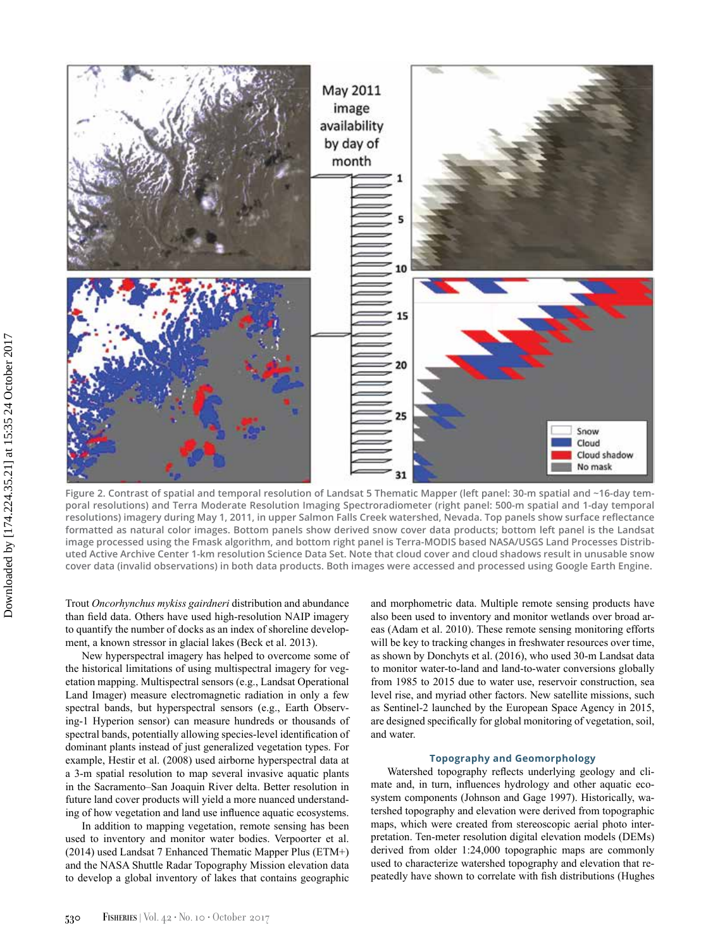

**Figure 2. Contrast of spatial and temporal resolution of Landsat 5 Thematic Mapper (left panel: 30-m spatial and ~16-day temporal resolutions) and Terra Moderate Resolution Imaging Spectroradiometer (right panel: 500-m spatial and 1-day temporal resolutions) imagery during May 1, 2011, in upper Salmon Falls Creek watershed, Nevada. Top panels show surface reflectance formatted as natural color images. Bottom panels show derived snow cover data products; bottom left panel is the Landsat image processed using the Fmask algorithm, and bottom right panel is Terra-MODIS based NASA/USGS Land Processes Distributed Active Archive Center 1-km resolution Science Data Set. Note that cloud cover and cloud shadows result in unusable snow cover data (invalid observations) in both data products. Both images were accessed and processed using Google Earth Engine.**

Trout *Oncorhynchus mykiss gairdneri* distribution and abundance than field data. Others have used high-resolution NAIP imagery to quantify the number of docks as an index of shoreline development, a known stressor in glacial lakes (Beck et al. 2013).

New hyperspectral imagery has helped to overcome some of the historical limitations of using multispectral imagery for vegetation mapping. Multispectral sensors (e.g., Landsat Operational Land Imager) measure electromagnetic radiation in only a few spectral bands, but hyperspectral sensors (e.g., Earth Observing-1 Hyperion sensor) can measure hundreds or thousands of spectral bands, potentially allowing species-level identification of dominant plants instead of just generalized vegetation types. For example, Hestir et al. (2008) used airborne hyperspectral data at a 3-m spatial resolution to map several invasive aquatic plants in the Sacramento–San Joaquin River delta. Better resolution in future land cover products will yield a more nuanced understanding of how vegetation and land use influence aquatic ecosystems.

In addition to mapping vegetation, remote sensing has been used to inventory and monitor water bodies. Verpoorter et al. (2014) used Landsat 7 Enhanced Thematic Mapper Plus (ETM+) and the NASA Shuttle Radar Topography Mission elevation data to develop a global inventory of lakes that contains geographic and morphometric data. Multiple remote sensing products have also been used to inventory and monitor wetlands over broad areas (Adam et al. 2010). These remote sensing monitoring efforts will be key to tracking changes in freshwater resources over time, as shown by Donchyts et al. (2016), who used 30-m Landsat data to monitor water-to-land and land-to-water conversions globally from 1985 to 2015 due to water use, reservoir construction, sea level rise, and myriad other factors. New satellite missions, such as Sentinel-2 launched by the European Space Agency in 2015, are designed specifically for global monitoring of vegetation, soil, and water.

## **Topography and Geomorphology**

Watershed topography reflects underlying geology and climate and, in turn, influences hydrology and other aquatic ecosystem components (Johnson and Gage 1997). Historically, watershed topography and elevation were derived from topographic maps, which were created from stereoscopic aerial photo interpretation. Ten-meter resolution digital elevation models (DEMs) derived from older 1:24,000 topographic maps are commonly used to characterize watershed topography and elevation that repeatedly have shown to correlate with fish distributions (Hughes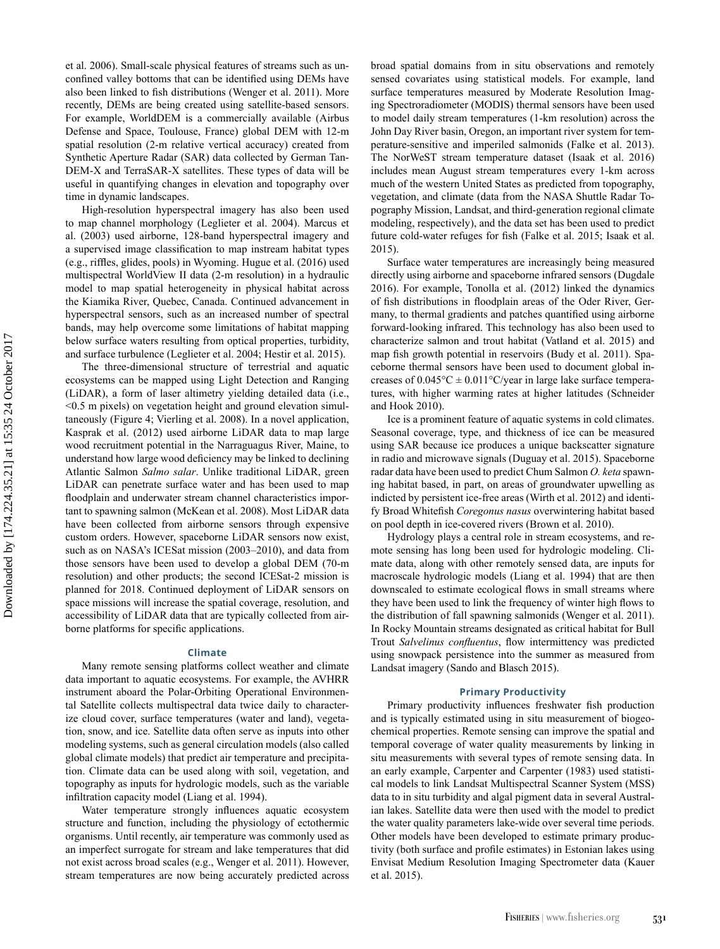et al. 2006). Small-scale physical features of streams such as unconfined valley bottoms that can be identified using DEMs have also been linked to fish distributions (Wenger et al. 2011). More recently, DEMs are being created using satellite-based sensors. For example, WorldDEM is a commercially available (Airbus Defense and Space, Toulouse, France) global DEM with 12-m spatial resolution (2-m relative vertical accuracy) created from Synthetic Aperture Radar (SAR) data collected by German Tan-DEM-X and TerraSAR-X satellites. These types of data will be useful in quantifying changes in elevation and topography over time in dynamic landscapes.

High-resolution hyperspectral imagery has also been used to map channel morphology (Leglieter et al. 2004). Marcus et al. (2003) used airborne, 128-band hyperspectral imagery and a supervised image classification to map instream habitat types (e.g., riffles, glides, pools) in Wyoming. Hugue et al. (2016) used multispectral WorldView II data (2-m resolution) in a hydraulic model to map spatial heterogeneity in physical habitat across the Kiamika River, Quebec, Canada. Continued advancement in hyperspectral sensors, such as an increased number of spectral bands, may help overcome some limitations of habitat mapping below surface waters resulting from optical properties, turbidity, and surface turbulence (Leglieter et al. 2004; Hestir et al. 2015).

The three-dimensional structure of terrestrial and aquatic ecosystems can be mapped using Light Detection and Ranging (LiDAR), a form of laser altimetry yielding detailed data (i.e., <0.5 m pixels) on vegetation height and ground elevation simultaneously (Figure 4; Vierling et al. 2008). In a novel application, Kasprak et al. (2012) used airborne LiDAR data to map large wood recruitment potential in the Narraguagus River, Maine, to understand how large wood deficiency may be linked to declining Atlantic Salmon *Salmo salar*. Unlike traditional LiDAR, green LiDAR can penetrate surface water and has been used to map floodplain and underwater stream channel characteristics important to spawning salmon (McKean et al. 2008). Most LiDAR data have been collected from airborne sensors through expensive custom orders. However, spaceborne LiDAR sensors now exist, such as on NASA's ICESat mission (2003–2010), and data from those sensors have been used to develop a global DEM (70-m resolution) and other products; the second ICESat-2 mission is planned for 2018. Continued deployment of LiDAR sensors on space missions will increase the spatial coverage, resolution, and accessibility of LiDAR data that are typically collected from airborne platforms for specific applications.

### **Climate**

Many remote sensing platforms collect weather and climate data important to aquatic ecosystems. For example, the AVHRR instrument aboard the Polar-Orbiting Operational Environmental Satellite collects multispectral data twice daily to characterize cloud cover, surface temperatures (water and land), vegetation, snow, and ice. Satellite data often serve as inputs into other modeling systems, such as general circulation models (also called global climate models) that predict air temperature and precipitation. Climate data can be used along with soil, vegetation, and topography as inputs for hydrologic models, such as the variable infiltration capacity model (Liang et al. 1994).

Water temperature strongly influences aquatic ecosystem structure and function, including the physiology of ectothermic organisms. Until recently, air temperature was commonly used as an imperfect surrogate for stream and lake temperatures that did not exist across broad scales (e.g., Wenger et al. 2011). However, stream temperatures are now being accurately predicted across broad spatial domains from in situ observations and remotely sensed covariates using statistical models. For example, land surface temperatures measured by Moderate Resolution Imaging Spectroradiometer (MODIS) thermal sensors have been used to model daily stream temperatures (1-km resolution) across the John Day River basin, Oregon, an important river system for temperature-sensitive and imperiled salmonids (Falke et al. 2013). The NorWeST stream temperature dataset (Isaak et al. 2016) includes mean August stream temperatures every 1-km across much of the western United States as predicted from topography, vegetation, and climate (data from the NASA Shuttle Radar Topography Mission, Landsat, and third-generation regional climate modeling, respectively), and the data set has been used to predict future cold-water refuges for fish (Falke et al. 2015; Isaak et al. 2015).

Surface water temperatures are increasingly being measured directly using airborne and spaceborne infrared sensors (Dugdale 2016). For example, Tonolla et al. (2012) linked the dynamics of fish distributions in floodplain areas of the Oder River, Germany, to thermal gradients and patches quantified using airborne forward-looking infrared. This technology has also been used to characterize salmon and trout habitat (Vatland et al. 2015) and map fish growth potential in reservoirs (Budy et al. 2011). Spaceborne thermal sensors have been used to document global increases of  $0.045^{\circ}\text{C} \pm 0.011^{\circ}\text{C/year}$  in large lake surface temperatures, with higher warming rates at higher latitudes (Schneider and Hook 2010).

Ice is a prominent feature of aquatic systems in cold climates. Seasonal coverage, type, and thickness of ice can be measured using SAR because ice produces a unique backscatter signature in radio and microwave signals (Duguay et al. 2015). Spaceborne radar data have been used to predict Chum Salmon *O. keta* spawning habitat based, in part, on areas of groundwater upwelling as indicted by persistent ice-free areas (Wirth et al. 2012) and identify Broad Whitefish *Coregonus nasus* overwintering habitat based on pool depth in ice-covered rivers (Brown et al. 2010).

Hydrology plays a central role in stream ecosystems, and remote sensing has long been used for hydrologic modeling. Climate data, along with other remotely sensed data, are inputs for macroscale hydrologic models (Liang et al. 1994) that are then downscaled to estimate ecological flows in small streams where they have been used to link the frequency of winter high flows to the distribution of fall spawning salmonids (Wenger et al. 2011). In Rocky Mountain streams designated as critical habitat for Bull Trout *Salvelinus confluentus*, flow intermittency was predicted using snowpack persistence into the summer as measured from Landsat imagery (Sando and Blasch 2015).

# **Primary Productivity**

Primary productivity influences freshwater fish production and is typically estimated using in situ measurement of biogeochemical properties. Remote sensing can improve the spatial and temporal coverage of water quality measurements by linking in situ measurements with several types of remote sensing data. In an early example, Carpenter and Carpenter (1983) used statistical models to link Landsat Multispectral Scanner System (MSS) data to in situ turbidity and algal pigment data in several Australian lakes. Satellite data were then used with the model to predict the water quality parameters lake-wide over several time periods. Other models have been developed to estimate primary productivity (both surface and profile estimates) in Estonian lakes using Envisat Medium Resolution Imaging Spectrometer data (Kauer et al. 2015).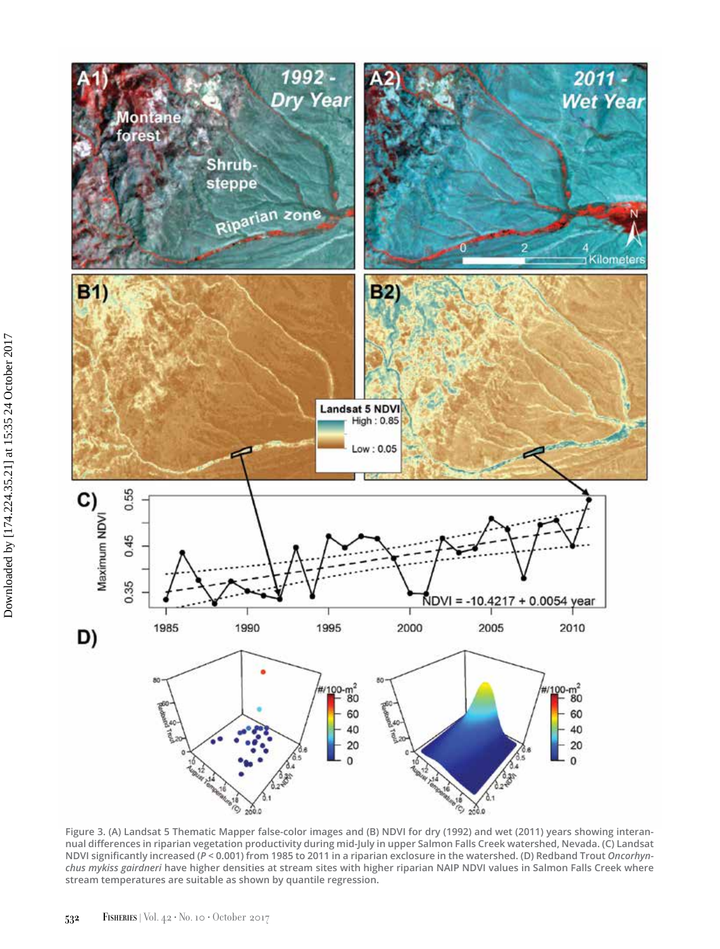

**Figure 3. (A) Landsat 5 Thematic Mapper false-color images and (B) NDVI for dry (1992) and wet (2011) years showing interannual differences in riparian vegetation productivity during mid-July in upper Salmon Falls Creek watershed, Nevada. (C) Landsat NDVI significantly increased (***P* **< 0.001) from 1985 to 2011 in a riparian exclosure in the watershed. (D) Redband Trout** *Oncorhynchus mykiss gairdneri* **have higher densities at stream sites with higher riparian NAIP NDVI values in Salmon Falls Creek where stream temperatures are suitable as shown by quantile regression.**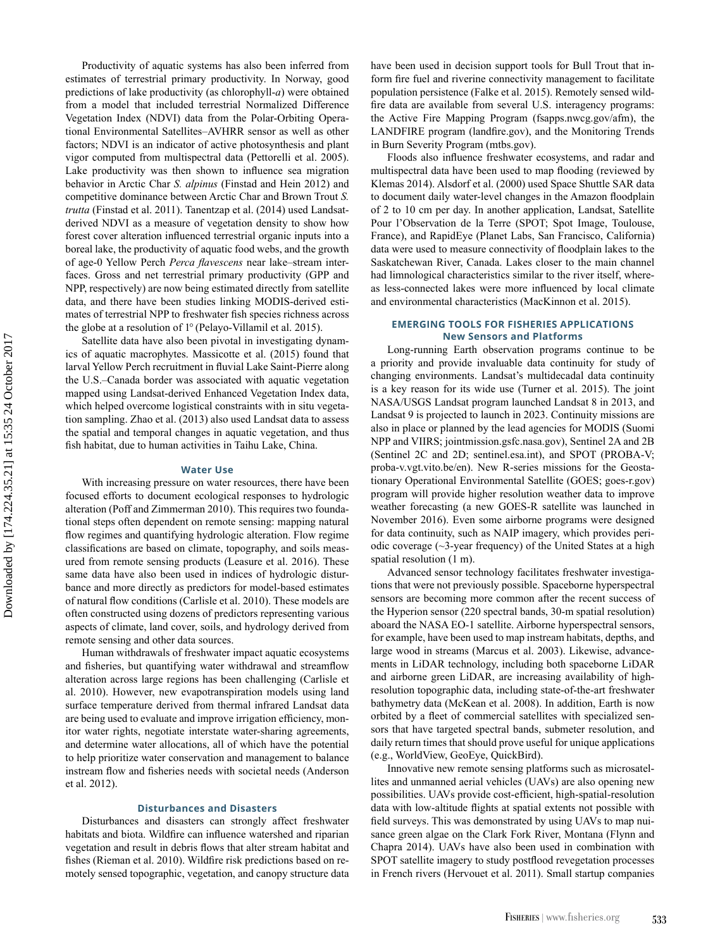Productivity of aquatic systems has also been inferred from estimates of terrestrial primary productivity. In Norway, good predictions of lake productivity (as chlorophyll-*a*) were obtained from a model that included terrestrial Normalized Difference Vegetation Index (NDVI) data from the Polar-Orbiting Operational Environmental Satellites–AVHRR sensor as well as other factors; NDVI is an indicator of active photosynthesis and plant vigor computed from multispectral data (Pettorelli et al. 2005). Lake productivity was then shown to influence sea migration behavior in Arctic Char *S. alpinus* (Finstad and Hein 2012) and competitive dominance between Arctic Char and Brown Trout *S. trutta* (Finstad et al. 2011). Tanentzap et al. (2014) used Landsatderived NDVI as a measure of vegetation density to show how forest cover alteration influenced terrestrial organic inputs into a boreal lake, the productivity of aquatic food webs, and the growth of age-0 Yellow Perch *Perca flavescens* near lake–stream interfaces. Gross and net terrestrial primary productivity (GPP and NPP, respectively) are now being estimated directly from satellite data, and there have been studies linking MODIS-derived estimates of terrestrial NPP to freshwater fish species richness across the globe at a resolution of 1° (Pelayo-Villamil et al. 2015).

Satellite data have also been pivotal in investigating dynamics of aquatic macrophytes. Massicotte et al. (2015) found that larval Yellow Perch recruitment in fluvial Lake Saint-Pierre along the U.S.–Canada border was associated with aquatic vegetation mapped using Landsat-derived Enhanced Vegetation Index data, which helped overcome logistical constraints with in situ vegetation sampling. Zhao et al. (2013) also used Landsat data to assess the spatial and temporal changes in aquatic vegetation, and thus fish habitat, due to human activities in Taihu Lake, China.

### **Water Use**

With increasing pressure on water resources, there have been focused efforts to document ecological responses to hydrologic alteration (Poff and Zimmerman 2010). This requires two foundational steps often dependent on remote sensing: mapping natural flow regimes and quantifying hydrologic alteration. Flow regime classifications are based on climate, topography, and soils measured from remote sensing products (Leasure et al. 2016). These same data have also been used in indices of hydrologic disturbance and more directly as predictors for model-based estimates of natural flow conditions (Carlisle et al. 2010). These models are often constructed using dozens of predictors representing various aspects of climate, land cover, soils, and hydrology derived from remote sensing and other data sources.

Human withdrawals of freshwater impact aquatic ecosystems and fisheries, but quantifying water withdrawal and streamflow alteration across large regions has been challenging (Carlisle et al. 2010). However, new evapotranspiration models using land surface temperature derived from thermal infrared Landsat data are being used to evaluate and improve irrigation efficiency, monitor water rights, negotiate interstate water-sharing agreements, and determine water allocations, all of which have the potential to help prioritize water conservation and management to balance instream flow and fisheries needs with societal needs (Anderson et al. 2012).

# **Disturbances and Disasters**

Disturbances and disasters can strongly affect freshwater habitats and biota. Wildfire can influence watershed and riparian vegetation and result in debris flows that alter stream habitat and fishes (Rieman et al. 2010). Wildfire risk predictions based on remotely sensed topographic, vegetation, and canopy structure data have been used in decision support tools for Bull Trout that inform fire fuel and riverine connectivity management to facilitate population persistence (Falke et al. 2015). Remotely sensed wildfire data are available from several U.S. interagency programs: the Active Fire Mapping Program (fsapps.nwcg.gov/afm), the LANDFIRE program (landfire.gov), and the Monitoring Trends in Burn Severity Program (mtbs.gov).

Floods also influence freshwater ecosystems, and radar and multispectral data have been used to map flooding (reviewed by Klemas 2014). Alsdorf et al. (2000) used Space Shuttle SAR data to document daily water-level changes in the Amazon floodplain of 2 to 10 cm per day. In another application, Landsat, Satellite Pour l'Observation de la Terre (SPOT; Spot Image, Toulouse, France), and RapidEye (Planet Labs, San Francisco, California) data were used to measure connectivity of floodplain lakes to the Saskatchewan River, Canada. Lakes closer to the main channel had limnological characteristics similar to the river itself, whereas less-connected lakes were more influenced by local climate and environmental characteristics (MacKinnon et al. 2015).

# **EMERGING TOOLS FOR FISHERIES APPLICATIONS New Sensors and Platforms**

Long-running Earth observation programs continue to be a priority and provide invaluable data continuity for study of changing environments. Landsat's multidecadal data continuity is a key reason for its wide use (Turner et al. 2015). The joint NASA/USGS Landsat program launched Landsat 8 in 2013, and Landsat 9 is projected to launch in 2023. Continuity missions are also in place or planned by the lead agencies for MODIS (Suomi NPP and VIIRS; jointmission.gsfc.nasa.gov), Sentinel 2A and 2B (Sentinel 2C and 2D; sentinel.esa.int), and SPOT (PROBA-V; proba-v.vgt.vito.be/en). New R-series missions for the Geostationary Operational Environmental Satellite (GOES; goes-r.gov) program will provide higher resolution weather data to improve weather forecasting (a new GOES-R satellite was launched in November 2016). Even some airborne programs were designed for data continuity, such as NAIP imagery, which provides periodic coverage (~3-year frequency) of the United States at a high spatial resolution (1 m).

Advanced sensor technology facilitates freshwater investigations that were not previously possible. Spaceborne hyperspectral sensors are becoming more common after the recent success of the Hyperion sensor (220 spectral bands, 30-m spatial resolution) aboard the NASA EO-1 satellite. Airborne hyperspectral sensors, for example, have been used to map instream habitats, depths, and large wood in streams (Marcus et al. 2003). Likewise, advancements in LiDAR technology, including both spaceborne LiDAR and airborne green LiDAR, are increasing availability of highresolution topographic data, including state-of-the-art freshwater bathymetry data (McKean et al. 2008). In addition, Earth is now orbited by a fleet of commercial satellites with specialized sensors that have targeted spectral bands, submeter resolution, and daily return times that should prove useful for unique applications (e.g., WorldView, GeoEye, QuickBird).

Innovative new remote sensing platforms such as microsatellites and unmanned aerial vehicles (UAVs) are also opening new possibilities. UAVs provide cost-efficient, high-spatial-resolution data with low-altitude flights at spatial extents not possible with field surveys. This was demonstrated by using UAVs to map nuisance green algae on the Clark Fork River, Montana (Flynn and Chapra 2014). UAVs have also been used in combination with SPOT satellite imagery to study postflood revegetation processes in French rivers (Hervouet et al. 2011). Small startup companies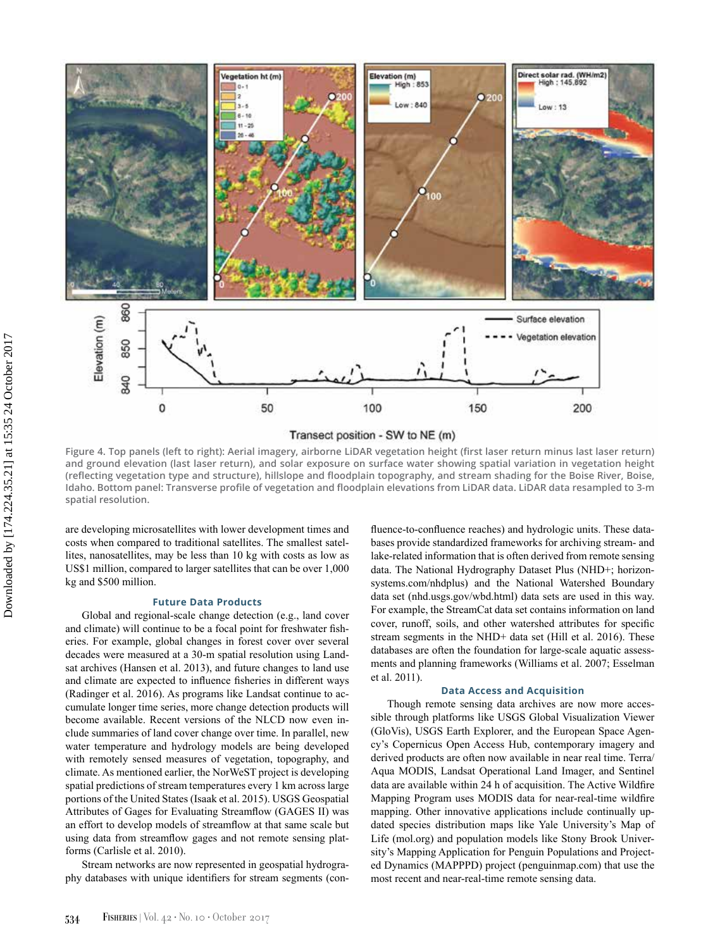

Transect position - SW to NE (m)

**Figure 4. Top panels (left to right): Aerial imagery, airborne LiDAR vegetation height (first laser return minus last laser return) and ground elevation (last laser return), and solar exposure on surface water showing spatial variation in vegetation height (reflecting vegetation type and structure), hillslope and floodplain topography, and stream shading for the Boise River, Boise, Idaho. Bottom panel: Transverse profile of vegetation and floodplain elevations from LiDAR data. LiDAR data resampled to 3-m spatial resolution.**

are developing microsatellites with lower development times and costs when compared to traditional satellites. The smallest satellites, nanosatellites, may be less than 10 kg with costs as low as US\$1 million, compared to larger satellites that can be over 1,000 kg and \$500 million.

# **Future Data Products**

Global and regional-scale change detection (e.g., land cover and climate) will continue to be a focal point for freshwater fisheries. For example, global changes in forest cover over several decades were measured at a 30-m spatial resolution using Landsat archives (Hansen et al. 2013), and future changes to land use and climate are expected to influence fisheries in different ways (Radinger et al. 2016). As programs like Landsat continue to accumulate longer time series, more change detection products will become available. Recent versions of the NLCD now even include summaries of land cover change over time. In parallel, new water temperature and hydrology models are being developed with remotely sensed measures of vegetation, topography, and climate. As mentioned earlier, the NorWeST project is developing spatial predictions of stream temperatures every 1 km across large portions of the United States (Isaak et al. 2015). USGS Geospatial Attributes of Gages for Evaluating Streamflow (GAGES II) was an effort to develop models of streamflow at that same scale but using data from streamflow gages and not remote sensing platforms (Carlisle et al. 2010).

Stream networks are now represented in geospatial hydrography databases with unique identifiers for stream segments (con-

fluence-to-confluence reaches) and hydrologic units. These databases provide standardized frameworks for archiving stream- and lake-related information that is often derived from remote sensing data. The National Hydrography Dataset Plus (NHD+; horizonsystems.com/nhdplus) and the National Watershed Boundary data set (nhd.usgs.gov/wbd.html) data sets are used in this way. For example, the StreamCat data set contains information on land cover, runoff, soils, and other watershed attributes for specific stream segments in the NHD+ data set (Hill et al. 2016). These databases are often the foundation for large-scale aquatic assessments and planning frameworks (Williams et al. 2007; Esselman et al. 2011).

# **Data Access and Acquisition**

Though remote sensing data archives are now more accessible through platforms like USGS Global Visualization Viewer (GloVis), USGS Earth Explorer, and the European Space Agency's Copernicus Open Access Hub, contemporary imagery and derived products are often now available in near real time. Terra/ Aqua MODIS, Landsat Operational Land Imager, and Sentinel data are available within 24 h of acquisition. The Active Wildfire Mapping Program uses MODIS data for near-real-time wildfire mapping. Other innovative applications include continually updated species distribution maps like Yale University's Map of Life (mol.org) and population models like Stony Brook University's Mapping Application for Penguin Populations and Projected Dynamics (MAPPPD) project (penguinmap.com) that use the most recent and near-real-time remote sensing data.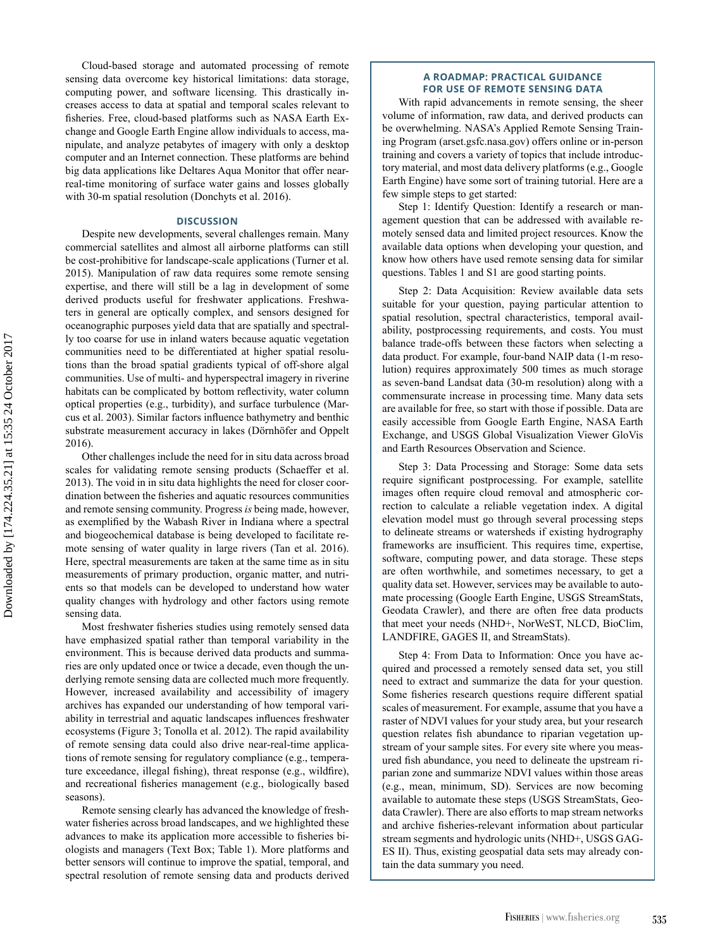Cloud-based storage and automated processing of remote sensing data overcome key historical limitations: data storage, computing power, and software licensing. This drastically increases access to data at spatial and temporal scales relevant to fisheries. Free, cloud-based platforms such as NASA Earth Exchange and Google Earth Engine allow individuals to access, manipulate, and analyze petabytes of imagery with only a desktop computer and an Internet connection. These platforms are behind big data applications like Deltares Aqua Monitor that offer nearreal-time monitoring of surface water gains and losses globally with 30-m spatial resolution (Donchyts et al. 2016).

# **DISCUSSION**

Despite new developments, several challenges remain. Many commercial satellites and almost all airborne platforms can still be cost-prohibitive for landscape-scale applications (Turner et al. 2015). Manipulation of raw data requires some remote sensing expertise, and there will still be a lag in development of some derived products useful for freshwater applications. Freshwaters in general are optically complex, and sensors designed for oceanographic purposes yield data that are spatially and spectrally too coarse for use in inland waters because aquatic vegetation communities need to be differentiated at higher spatial resolutions than the broad spatial gradients typical of off-shore algal communities. Use of multi- and hyperspectral imagery in riverine habitats can be complicated by bottom reflectivity, water column optical properties (e.g., turbidity), and surface turbulence (Marcus et al. 2003). Similar factors influence bathymetry and benthic substrate measurement accuracy in lakes (Dörnhöfer and Oppelt 2016)

Other challenges include the need for in situ data across broad scales for validating remote sensing products (Schaeffer et al. 2013). The void in in situ data highlights the need for closer coordination between the fisheries and aquatic resources communities and remote sensing community. Progress *is* being made, however, as exemplified by the Wabash River in Indiana where a spectral and biogeochemical database is being developed to facilitate remote sensing of water quality in large rivers (Tan et al. 2016). Here, spectral measurements are taken at the same time as in situ measurements of primary production, organic matter, and nutrients so that models can be developed to understand how water quality changes with hydrology and other factors using remote sensing data.

Most freshwater fisheries studies using remotely sensed data have emphasized spatial rather than temporal variability in the environment. This is because derived data products and summaries are only updated once or twice a decade, even though the underlying remote sensing data are collected much more frequently. However, increased availability and accessibility of imagery archives has expanded our understanding of how temporal variability in terrestrial and aquatic landscapes influences freshwater ecosystems (Figure 3; Tonolla et al. 2012). The rapid availability of remote sensing data could also drive near-real-time applications of remote sensing for regulatory compliance (e.g., temperature exceedance, illegal fishing), threat response (e.g., wildfire), and recreational fisheries management (e.g., biologically based seasons).

Remote sensing clearly has advanced the knowledge of freshwater fisheries across broad landscapes, and we highlighted these advances to make its application more accessible to fisheries biologists and managers (Text Box; Table 1). More platforms and better sensors will continue to improve the spatial, temporal, and spectral resolution of remote sensing data and products derived

### **A ROADMAP: PRACTICAL GUIDANCE FOR USE OF REMOTE SENSING DATA**

With rapid advancements in remote sensing, the sheer volume of information, raw data, and derived products can be overwhelming. NASA's Applied Remote Sensing Training Program (arset.gsfc.nasa.gov) offers online or in-person training and covers a variety of topics that include introductory material, and most data delivery platforms (e.g., Google Earth Engine) have some sort of training tutorial. Here are a few simple steps to get started:

Step 1: Identify Question: Identify a research or management question that can be addressed with available remotely sensed data and limited project resources. Know the available data options when developing your question, and know how others have used remote sensing data for similar questions. Tables 1 and S1 are good starting points.

Step 2: Data Acquisition: Review available data sets suitable for your question, paying particular attention to spatial resolution, spectral characteristics, temporal availability, postprocessing requirements, and costs. You must balance trade-offs between these factors when selecting a data product. For example, four-band NAIP data (1-m resolution) requires approximately 500 times as much storage as seven-band Landsat data (30-m resolution) along with a commensurate increase in processing time. Many data sets are available for free, so start with those if possible. Data are easily accessible from Google Earth Engine, NASA Earth Exchange, and USGS Global Visualization Viewer GloVis and Earth Resources Observation and Science.

Step 3: Data Processing and Storage: Some data sets require significant postprocessing. For example, satellite images often require cloud removal and atmospheric correction to calculate a reliable vegetation index. A digital elevation model must go through several processing steps to delineate streams or watersheds if existing hydrography frameworks are insufficient. This requires time, expertise, software, computing power, and data storage. These steps are often worthwhile, and sometimes necessary, to get a quality data set. However, services may be available to automate processing (Google Earth Engine, USGS StreamStats, Geodata Crawler), and there are often free data products that meet your needs (NHD+, NorWeST, NLCD, BioClim, LANDFIRE, GAGES II, and StreamStats).

Step 4: From Data to Information: Once you have acquired and processed a remotely sensed data set, you still need to extract and summarize the data for your question. Some fisheries research questions require different spatial scales of measurement. For example, assume that you have a raster of NDVI values for your study area, but your research question relates fish abundance to riparian vegetation upstream of your sample sites. For every site where you measured fish abundance, you need to delineate the upstream riparian zone and summarize NDVI values within those areas (e.g., mean, minimum, SD). Services are now becoming available to automate these steps (USGS StreamStats, Geodata Crawler). There are also efforts to map stream networks and archive fisheries-relevant information about particular stream segments and hydrologic units (NHD+, USGS GAG-ES II). Thus, existing geospatial data sets may already contain the data summary you need.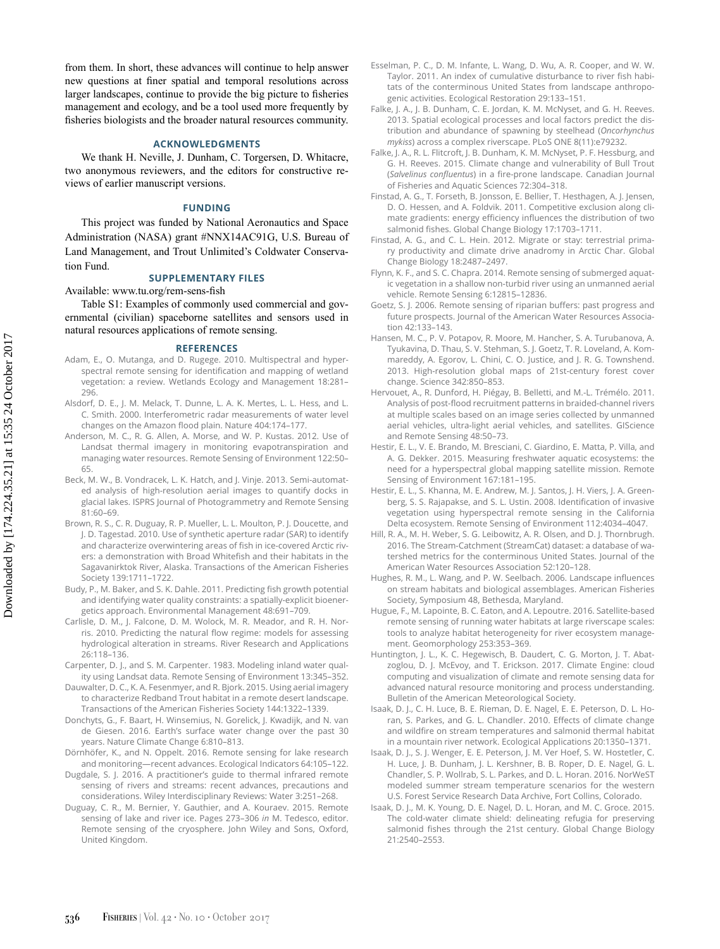### **ACKNOWLEDGMENTS**

We thank H. Neville, J. Dunham, C. Torgersen, D. Whitacre, two anonymous reviewers, and the editors for constructive reviews of earlier manuscript versions.

### **FUNDING**

This project was funded by National Aeronautics and Space Administration (NASA) grant #NNX14AC91G, U.S. Bureau of Land Management, and Trout Unlimited's Coldwater Conservation Fund.

### **SUPPLEMENTARY FILES**

Available: www.tu.org/rem-sens-fish

Table S1: Examples of commonly used commercial and governmental (civilian) spaceborne satellites and sensors used in natural resources applications of remote sensing.

### **REFERENCES**

- Adam, E., O. Mutanga, and D. Rugege. 2010. Multispectral and hyperspectral remote sensing for identification and mapping of wetland vegetation: a review. Wetlands Ecology and Management 18:281– 296.
- Alsdorf, D. E., J. M. Melack, T. Dunne, L. A. K. Mertes, L. L. Hess, and L. C. Smith. 2000. Interferometric radar measurements of water level changes on the Amazon flood plain. Nature 404:174–177.
- Anderson, M. C., R. G. Allen, A. Morse, and W. P. Kustas. 2012. Use of Landsat thermal imagery in monitoring evapotranspiration and managing water resources. Remote Sensing of Environment 122:50– 65.
- Beck, M. W., B. Vondracek, L. K. Hatch, and J. Vinje. 2013. Semi-automated analysis of high-resolution aerial images to quantify docks in glacial lakes. ISPRS Journal of Photogrammetry and Remote Sensing 81:60–69.
- Brown, R. S., C. R. Duguay, R. P. Mueller, L. L. Moulton, P. J. Doucette, and J. D. Tagestad. 2010. Use of synthetic aperture radar (SAR) to identify and characterize overwintering areas of fish in ice-covered Arctic rivers: a demonstration with Broad Whitefish and their habitats in the Sagavanirktok River, Alaska. Transactions of the American Fisheries Society 139:1711–1722.
- Budy, P., M. Baker, and S. K. Dahle. 2011. Predicting fish growth potential and identifying water quality constraints: a spatially-explicit bioenergetics approach. Environmental Management 48:691–709.
- hydrological alteration in streams. River Research and Applications **held and The Common and Application** ment. Geomorphology 253:353-369. FL 32611. E-mail: dchagaris@ufl.edu 26:118–136. Carlisle, D. M., J. Falcone, D. M. Wolock, M. R. Meador, and R. H. Norris. 2010. Predicting the natural flow regime: models for assessing
- ity using Landsat data. Remote Sensing of Environment 13:345–352. **Computing and visualization of cl** Carpenter, D. J., and S. M. Carpenter. 1983. Modeling inland water qual-
- **Kristen Dahl |** University of Florida, Gainesville, FL to characterize Redband Trout habitat in a remote desert landscape. **Jennifer Granner Crannels Society 144:1322–1339.**<br>The American Fisheries Society 144:1322–1339. Dauwalter, D. C., K. A. Fesenmyer, and R. Bjork. 2015. Using aerial imagery
- de Giesen. 2016. Earth's surface water change over the past 30 Donchyts, G., F. Baart, H. Winsemius, N. Gorelick, J. Kwadijk, and N. van years. Nature Climate Change 6:810–813.
- Dörnhöfer, K., and N. Oppelt. 2016. Remote sensing for lake research and monitoring—recent advances. Ecological Indicators 64:105–122.
- and monitoring—recent advances, Ecological mulcators 04.100–122.<br>Dugdale, S. J. 2016. A practitioner's guide to thermal infrared remote sensing of rivers and streams: recent advances, precautions and considerations. Wiley Interdisciplinary Reviews: Water 3:251–268.
- Duguay, C. R., M. Bernier, Y. Gauthier, and A. Kouraev. 2015. Remote lsaak, D. J., M. **James A. Morris, Morris, 1997, 200 and Morrisms Construction**<br>Remote sensing of the cryosphere. John Wiley and Sons, Oxford, United Kingdom. sensing of lake and river ice. Pages 273–306 *in* M. Tedesco, editor.
- Esselman, P. C., D. M. Infante, L. Wang, D. Wu, A. R. Cooper, and W. W. Taylor. 2011. An index of cumulative disturbance to river fish habitats of the conterminous United States from landscape anthropogenic activities. Ecological Restoration 29:133–151.
- Falke, J. A., J. B. Dunham, C. E. Jordan, K. M. McNyset, and G. H. Reeves. 2013. Spatial ecological processes and local factors predict the distribution and abundance of spawning by steelhead (*Oncorhynchus mykiss*) across a complex riverscape. PLoS ONE 8(11):e79232.
- Falke, J. A., R. L. Flitcroft, J. B. Dunham, K. M. McNyset, P. F. Hessburg, and G. H. Reeves. 2015. Climate change and vulnerability of Bull Trout (*Salvelinus confluentus*) in a fire-prone landscape. Canadian Journal of Fisheries and Aquatic Sciences 72:304–318.
- Finstad, A. G., T. Forseth, B. Jonsson, E. Bellier, T. Hesthagen, A. J. Jensen, D. O. Hessen, and A. Foldvik. 2011. Competitive exclusion along climate gradients: energy efficiency influences the distribution of two salmonid fishes. Global Change Biology 17:1703–1711.
- Finstad, A. G., and C. L. Hein. 2012. Migrate or stay: terrestrial primary productivity and climate drive anadromy in Arctic Char. Global Change Biology 18:2487–2497.
- Flynn, K. F., and S. C. Chapra. 2014. Remote sensing of submerged aquatic vegetation in a shallow non-turbid river using an unmanned aerial vehicle. Remote Sensing 6:12815–12836.
- Goetz, S. J. 2006. Remote sensing of riparian buffers: past progress and future prospects. Journal of the American Water Resources Association 42:133–143.
- Hansen, M. C., P. V. Potapov, R. Moore, M. Hancher, S. A. Turubanova, A. Tyukavina, D. Thau, S. V. Stehman, S. J. Goetz, T. R. Loveland, A. Kommareddy, A. Egorov, L. Chini, C. O. Justice, and J. R. G. Townshend. 2013. High-resolution global maps of 21st-century forest cover change. Science 342:850–853.
- Hervouet, A., R. Dunford, H. Piégay, B. Belletti, and M.-L. Trémélo. 2011. Analysis of post-flood recruitment patterns in braided-channel rivers at multiple scales based on an image series collected by unmanned aerial vehicles, ultra-light aerial vehicles, and satellites. GIScience and Remote Sensing 48:50–73.
- Hestir, E. L., V. E. Brando, M. Bresciani, C. Giardino, E. Matta, P. Villa, and A. G. Dekker. 2015. Measuring freshwater aquatic ecosystems: the need for a hyperspectral global mapping satellite mission. Remote Sensing of Environment 167:181–195.
- Hestir, E. L., S. Khanna, M. E. Andrew, M. J. Santos, J. H. Viers, J. A. Greenberg, S. S. Rajapakse, and S. L. Ustin. 2008. Identification of invasive vegetation using hyperspectral remote sensing in the California Delta ecosystem. Remote Sensing of Environment 112:4034–4047.
- Hill, R. A., M. H. Weber, S. G. Leibowitz, A. R. Olsen, and D. J. Thornbrugh. 2016. The Stream-Catchment (StreamCat) dataset: a database of watershed metrics for the conterminous United States. Journal of the American Water Resources Association 52:120–128.
- Hughes, R. M., L. Wang, and P. W. Seelbach. 2006. Landscape influences on stream habitats and biological assemblages. American Fisheries Society, Symposium 48, Bethesda, Maryland.
- Hugue, F., M. Lapointe, B. C. Eaton, and A. Lepoutre. 2016. Satellite-based remote sensing of running water habitats at large riverscape scales: tools to analyze habitat heterogeneity for river ecosystem management. Geomorphology 253:353–369.
- Huntington, J. L., K. C. Hegewisch, B. Daudert, C. G. Morton, J. T. Abatzoglou, D. J. McEvoy, and T. Erickson. 2017. Climate Engine: cloud computing and visualization of climate and remote sensing data for advanced natural resource monitoring and process understanding. Bulletin of the American Meteorological Society.
- Isaak, D. J., C. H. Luce, B. E. Rieman, D. E. Nagel, E. E. Peterson, D. L. Horan, S. Parkes, and G. L. Chandler. 2010. Effects of climate change and wildfire on stream temperatures and salmonid thermal habitat in a mountain river network. Ecological Applications 20:1350–1371.
- Isaak, D. J., S. J. Wenger, E. E. Peterson, J. M. Ver Hoef, S. W. Hostetler, C. H. Luce, J. B. Dunham, J. L. Kershner, B. B. Roper, D. E. Nagel, G. L. Chandler, S. P. Wollrab, S. L. Parkes, and D. L. Horan. 2016. NorWeST modeled summer stream temperature scenarios for the western U.S. Forest Service Research Data Archive, Fort Collins, Colorado.
- Isaak, D. J., M. K. Young, D. E. Nagel, D. L. Horan, and M. C. Groce. 2015. The cold-water climate shield: delineating refugia for preserving salmonid fishes through the 21st century. Global Change Biology 21:2540–2553.